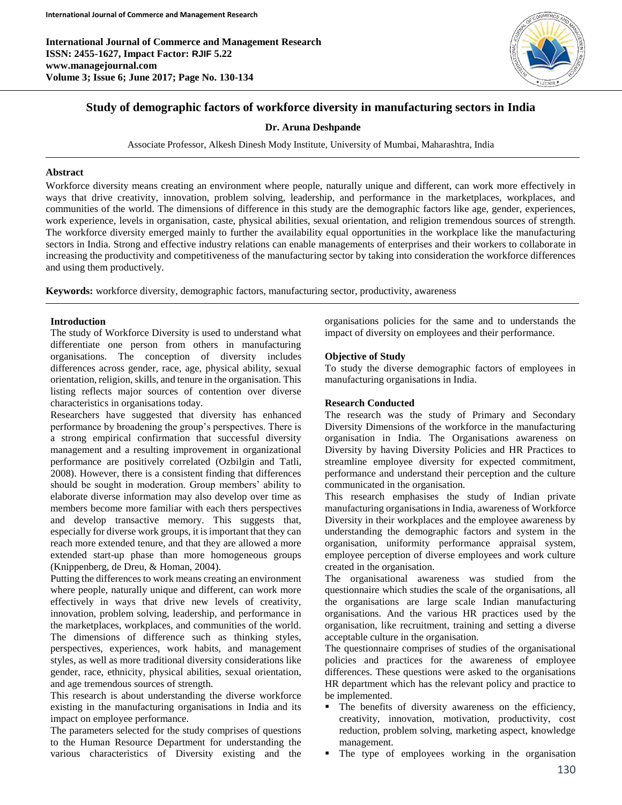

# **Study of demographic factors of workforce diversity in manufacturing sectors in India**

## **Dr. Aruna Deshpande**

Associate Professor, Alkesh Dinesh Mody Institute, University of Mumbai, Maharashtra, India

### **Abstract**

Workforce diversity means creating an environment where people, naturally unique and different, can work more effectively in ways that drive creativity, innovation, problem solving, leadership, and performance in the marketplaces, workplaces, and communities of the world. The dimensions of difference in this study are the demographic factors like age, gender, experiences, work experience, levels in organisation, caste, physical abilities, sexual orientation, and religion tremendous sources of strength. The workforce diversity emerged mainly to further the availability equal opportunities in the workplace like the manufacturing sectors in India. Strong and effective industry relations can enable managements of enterprises and their workers to collaborate in increasing the productivity and competitiveness of the manufacturing sector by taking into consideration the workforce differences and using them productively.

**Keywords:** workforce diversity, demographic factors, manufacturing sector, productivity, awareness

## **Introduction**

The study of Workforce Diversity is used to understand what differentiate one person from others in manufacturing organisations. The conception of diversity includes differences across gender, race, age, physical ability, sexual orientation, religion, skills, and tenure in the organisation. This listing reflects major sources of contention over diverse characteristics in organisations today.

Researchers have suggested that diversity has enhanced performance by broadening the group's perspectives. There is a strong empirical confirmation that successful diversity management and a resulting improvement in organizational performance are positively correlated (Ozbilgin and Tatli, 2008). However, there is a consistent finding that differences should be sought in moderation. Group members' ability to elaborate diverse information may also develop over time as members become more familiar with each thers perspectives and develop transactive memory. This suggests that, especially for diverse work groups, it is important that they can reach more extended tenure, and that they are allowed a more extended start-up phase than more homogeneous groups (Knippenberg, de Dreu, & Homan, 2004).

Putting the differences to work means creating an environment where people, naturally unique and different, can work more effectively in ways that drive new levels of creativity, innovation, problem solving, leadership, and performance in the marketplaces, workplaces, and communities of the world. The dimensions of difference such as thinking styles, perspectives, experiences, work habits, and management styles, as well as more traditional diversity considerations like gender, race, ethnicity, physical abilities, sexual orientation, and age tremendous sources of strength.

This research is about understanding the diverse workforce existing in the manufacturing organisations in India and its impact on employee performance.

The parameters selected for the study comprises of questions to the Human Resource Department for understanding the various characteristics of Diversity existing and the

organisations policies for the same and to understands the impact of diversity on employees and their performance.

## **Objective of Study**

To study the diverse demographic factors of employees in manufacturing organisations in India.

### **Research Conducted**

The research was the study of Primary and Secondary Diversity Dimensions of the workforce in the manufacturing organisation in India. The Organisations awareness on Diversity by having Diversity Policies and HR Practices to streamline employee diversity for expected commitment, performance and understand their perception and the culture communicated in the organisation.

This research emphasises the study of Indian private manufacturing organisations in India, awareness of Workforce Diversity in their workplaces and the employee awareness by understanding the demographic factors and system in the organisation, uniformity performance appraisal system, employee perception of diverse employees and work culture created in the organisation.

The organisational awareness was studied from the questionnaire which studies the scale of the organisations, all the organisations are large scale Indian manufacturing organisations. And the various HR practices used by the organisation, like recruitment, training and setting a diverse acceptable culture in the organisation.

The questionnaire comprises of studies of the organisational policies and practices for the awareness of employee differences. These questions were asked to the organisations HR department which has the relevant policy and practice to be implemented.

- The benefits of diversity awareness on the efficiency, creativity, innovation, motivation, productivity, cost reduction, problem solving, marketing aspect, knowledge management.
- The type of employees working in the organisation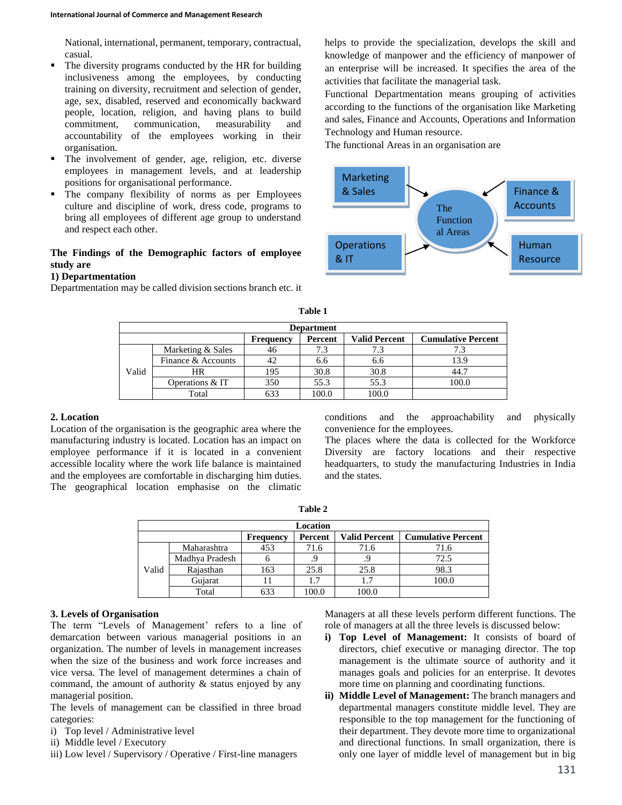National, international, permanent, temporary, contractual, casual.

- The diversity programs conducted by the HR for building inclusiveness among the employees, by conducting training on diversity, recruitment and selection of gender, age, sex, disabled, reserved and economically backward people, location, religion, and having plans to build commitment, communication, measurability and accountability of the employees working in their organisation.
- The involvement of gender, age, religion, etc. diverse employees in management levels, and at leadership positions for organisational performance.
- The company flexibility of norms as per Employees culture and discipline of work, dress code, programs to bring all employees of different age group to understand and respect each other.

## **The Findings of the Demographic factors of employee study are**

### **1) Departmentation**

Departmentation may be called division sections branch etc. it

helps to provide the specialization, develops the skill and knowledge of manpower and the efficiency of manpower of an enterprise will be increased. It specifies the area of the activities that facilitate the managerial task.

Functional Departmentation means grouping of activities according to the functions of the organisation like Marketing and sales, Finance and Accounts, Operations and Information Technology and Human resource.

The functional Areas in an organisation are



|       | <b>Department</b>  |                  |         |                      |                           |  |  |  |
|-------|--------------------|------------------|---------|----------------------|---------------------------|--|--|--|
|       |                    | <b>Frequency</b> | Percent | <b>Valid Percent</b> | <b>Cumulative Percent</b> |  |  |  |
|       | Marketing & Sales  | 46               | 7.3     | 7.3                  |                           |  |  |  |
|       | Finance & Accounts |                  | 6.6     | 6.6                  | 13.9                      |  |  |  |
| Valid | <b>HR</b>          | 195              | 30.8    | 30.8                 | 44.7                      |  |  |  |
|       | Operations & IT    | 350              | 55.3    | 55.3                 | 100.0                     |  |  |  |
|       | Total              |                  | 100.0   | 100.0                |                           |  |  |  |

**Table 1**

#### **2. Location**

Location of the organisation is the geographic area where the manufacturing industry is located. Location has an impact on employee performance if it is located in a convenient accessible locality where the work life balance is maintained and the employees are comfortable in discharging him duties. The geographical location emphasise on the climatic

conditions and the approachability and physically convenience for the employees.

The places where the data is collected for the Workforce Diversity are factory locations and their respective headquarters, to study the manufacturing Industries in India and the states.

|       | Location                                                                         |     |       |       |       |  |  |
|-------|----------------------------------------------------------------------------------|-----|-------|-------|-------|--|--|
|       | <b>Cumulative Percent</b><br><b>Valid Percent</b><br>Percent<br><b>Frequency</b> |     |       |       |       |  |  |
|       | Maharashtra                                                                      | 453 | 71.6  | 71.6  | 71.6  |  |  |
|       | Madhya Pradesh                                                                   | n   |       |       | 72.5  |  |  |
| Valid | Rajasthan                                                                        | 163 | 25.8  | 25.8  | 98.3  |  |  |
|       | Gujarat                                                                          |     | 1.7   | 1.7   | 100.0 |  |  |
|       | Total                                                                            | 633 | 100.0 | 100.0 |       |  |  |

### **Table 2**

## **3. Levels of Organisation**

The term "Levels of Management' refers to a line of demarcation between various managerial positions in an organization. The number of levels in management increases when the size of the business and work force increases and vice versa. The level of management determines a chain of command, the amount of authority & status enjoyed by any managerial position.

The levels of management can be classified in three broad categories:

- i) Top level / Administrative level
- ii) Middle level / Executory
- iii) Low level / Supervisory / Operative / First-line managers

Managers at all these levels perform different functions. The role of managers at all the three levels is discussed below:

- **i) Top Level of Management:** It consists of board of directors, chief executive or managing director. The top management is the ultimate source of authority and it manages goals and policies for an enterprise. It devotes more time on planning and coordinating functions.
- **ii) Middle Level of Management:** The branch managers and departmental managers constitute middle level. They are responsible to the top management for the functioning of their department. They devote more time to organizational and directional functions. In small organization, there is only one layer of middle level of management but in big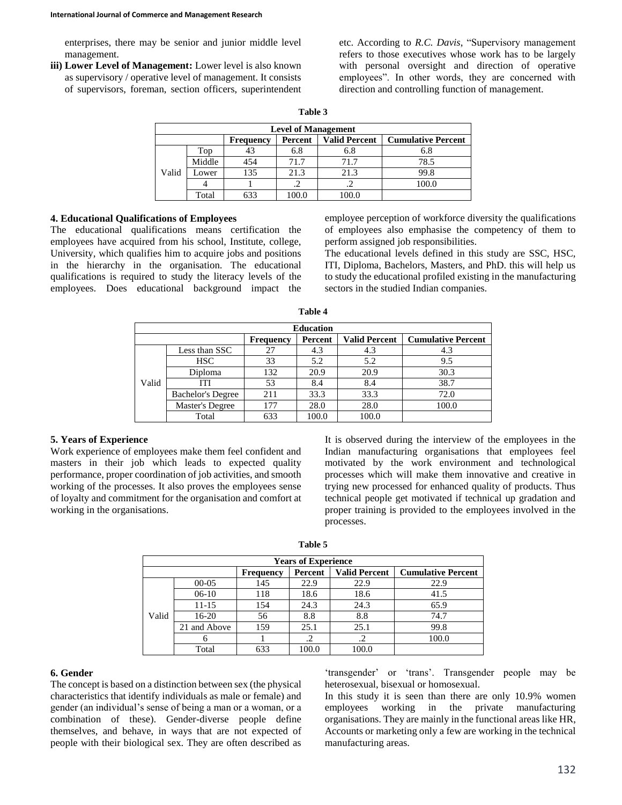enterprises, there may be senior and junior middle level management.

**iii) Lower Level of Management:** Lower level is also known as supervisory / operative level of management. It consists of supervisors, foreman, section officers, superintendent etc. According to *R.C. Davis*, "Supervisory management refers to those executives whose work has to be largely with personal oversight and direction of operative employees". In other words, they are concerned with direction and controlling function of management.

| ahl<br>lı |  |
|-----------|--|
|-----------|--|

| <b>Level of Management</b> |                                                                                  |     |       |       |       |  |  |  |
|----------------------------|----------------------------------------------------------------------------------|-----|-------|-------|-------|--|--|--|
|                            | <b>Valid Percent</b><br><b>Cumulative Percent</b><br>Percent<br><b>Frequency</b> |     |       |       |       |  |  |  |
|                            | Top                                                                              | 43  | 6.8   | 6.8   | 6.8   |  |  |  |
| Valid                      | Middle                                                                           | 454 | 71.7  | 71.7  | 78.5  |  |  |  |
|                            | Lower                                                                            | 135 | 21.3  | 21.3  | 99.8  |  |  |  |
|                            |                                                                                  |     |       |       | 100.0 |  |  |  |
|                            | Total                                                                            | 633 | 100.0 | 100.0 |       |  |  |  |

## **4. Educational Qualifications of Employees**

The educational qualifications means certification the employees have acquired from his school, Institute, college, University, which qualifies him to acquire jobs and positions in the hierarchy in the organisation. The educational qualifications is required to study the literacy levels of the employees. Does educational background impact the

employee perception of workforce diversity the qualifications of employees also emphasise the competency of them to perform assigned job responsibilities.

The educational levels defined in this study are SSC, HSC, ITI, Diploma, Bachelors, Masters, and PhD. this will help us to study the educational profiled existing in the manufacturing sectors in the studied Indian companies.

|       | <b>Education</b>                                                                 |     |       |       |       |  |  |  |
|-------|----------------------------------------------------------------------------------|-----|-------|-------|-------|--|--|--|
|       | <b>Valid Percent</b><br><b>Cumulative Percent</b><br>Percent<br><b>Frequency</b> |     |       |       |       |  |  |  |
|       | Less than SSC                                                                    | 27  | 4.3   | 4.3   | 4.3   |  |  |  |
|       | <b>HSC</b>                                                                       | 33  | 5.2   | 5.2   | 9.5   |  |  |  |
|       | Diploma                                                                          | 132 | 20.9  | 20.9  | 30.3  |  |  |  |
| Valid | ITI                                                                              | 53  | 8.4   | 8.4   | 38.7  |  |  |  |
|       | <b>Bachelor's Degree</b>                                                         | 211 | 33.3  | 33.3  | 72.0  |  |  |  |
|       | Master's Degree                                                                  | 177 | 28.0  | 28.0  | 100.0 |  |  |  |
|       | Total                                                                            | 633 | 100.0 | 100.0 |       |  |  |  |

**Table 4**

#### **5. Years of Experience**

Work experience of employees make them feel confident and masters in their job which leads to expected quality performance, proper coordination of job activities, and smooth working of the processes. It also proves the employees sense of loyalty and commitment for the organisation and comfort at working in the organisations.

It is observed during the interview of the employees in the Indian manufacturing organisations that employees feel motivated by the work environment and technological processes which will make them innovative and creative in trying new processed for enhanced quality of products. Thus technical people get motivated if technical up gradation and proper training is provided to the employees involved in the processes.

|       | <b>Years of Experience</b>                                                       |     |       |       |       |  |  |
|-------|----------------------------------------------------------------------------------|-----|-------|-------|-------|--|--|
|       | <b>Valid Percent</b><br><b>Cumulative Percent</b><br>Percent<br><b>Frequency</b> |     |       |       |       |  |  |
|       | $00 - 05$                                                                        | 145 | 22.9  | 22.9  | 22.9  |  |  |
|       | $06-10$                                                                          | 118 | 18.6  | 18.6  | 41.5  |  |  |
|       | $11 - 15$                                                                        | 154 | 24.3  | 24.3  | 65.9  |  |  |
| Valid | $16-20$                                                                          | 56  | 8.8   | 8.8   | 74.7  |  |  |
|       | 21 and Above                                                                     | 159 | 25.1  | 25.1  | 99.8  |  |  |
|       |                                                                                  |     | .2    | .2    | 100.0 |  |  |
|       | Total                                                                            | 633 | 100.0 | 100.0 |       |  |  |

## **6. Gender**

The concept is based on a distinction between sex (the physical characteristics that identify individuals as male or female) and gender (an individual's sense of being a man or a woman, or a combination of these). Gender-diverse people define themselves, and behave, in ways that are not expected of people with their biological sex. They are often described as

'transgender' or 'trans'. Transgender people may be heterosexual, bisexual or homosexual.

In this study it is seen than there are only 10.9% women employees working in the private manufacturing organisations. They are mainly in the functional areas like HR, Accounts or marketing only a few are working in the technical manufacturing areas.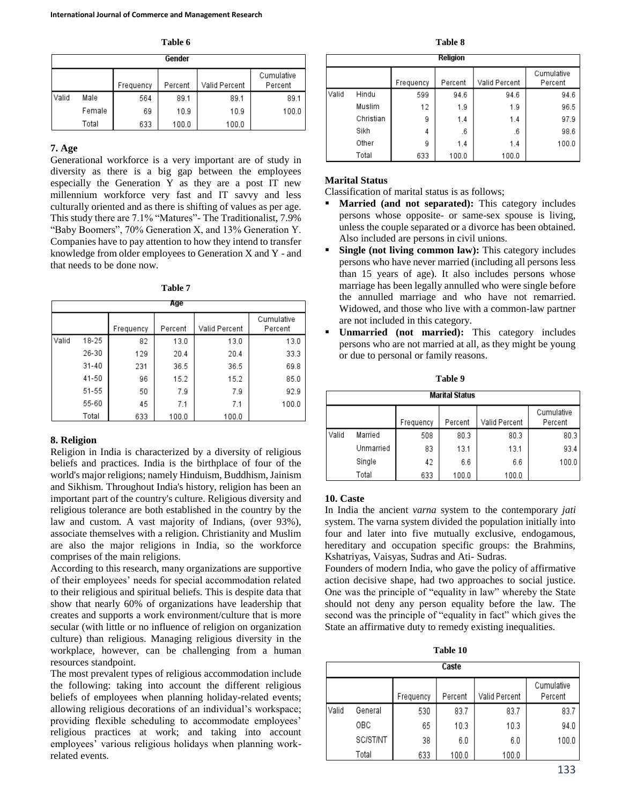**Table 6**

|       | Gender |           |         |               |                       |  |  |
|-------|--------|-----------|---------|---------------|-----------------------|--|--|
|       |        | Frequency | Percent | Valid Percent | Cumulative<br>Percent |  |  |
| Valid | Male   | 564       | 89.1    | 89.1          | 89.1                  |  |  |
|       | Female | 69        | 10.9    | 10.9          | 100.0                 |  |  |
|       | Total  | 633       | 100.0   | 100.0         |                       |  |  |

## **7. Age**

Generational workforce is a very important are of study in diversity as there is a big gap between the employees especially the Generation Y as they are a post IT new millennium workforce very fast and IT savvy and less culturally oriented and as there is shifting of values as per age. This study there are 7.1% "Matures"- The Traditionalist, 7.9% "Baby Boomers", 70% Generation X, and 13% Generation Y. Companies have to pay attention to how they intend to transfer knowledge from older employees to Generation X and Y - and that needs to be done now.

**Table 7**

|       | Age   |           |         |               |                       |  |  |  |
|-------|-------|-----------|---------|---------------|-----------------------|--|--|--|
|       |       | Frequency | Percent | Valid Percent | Cumulative<br>Percent |  |  |  |
| Valid | 18-25 | 82        | 13.0    | 13.0          | 13.0                  |  |  |  |
|       | 26-30 | 129       | 20.4    | 20.4          | 33.3                  |  |  |  |
|       | 31-40 | 231       | 36.5    | 36.5          | 69.8                  |  |  |  |
|       | 41-50 | 96        | 15.2    | 15.2          | 85.0                  |  |  |  |
|       | 51-55 | 50        | 7.9     | 7.9           | 92.9                  |  |  |  |
|       | 55-60 | 45        | 7.1     | 7.1           | 100.0                 |  |  |  |
|       | Total | 633       | 100.0   | 100.0         |                       |  |  |  |

## **8. Religion**

Religion in India is characterized by a diversity of religious beliefs and practices. India is the birthplace of four of the world's major religions; namely Hinduism, Buddhism, Jainism and Sikhism. Throughout India's history, religion has been an important part of the country's culture. Religious diversity and religious tolerance are both established in the country by the law and custom. A vast majority of Indians, (over 93%), associate themselves with a religion. Christianity and Muslim are also the major religions in India, so the workforce comprises of the main religions.

According to this research, many organizations are supportive of their employees' needs for special accommodation related to their religious and spiritual beliefs. This is despite data that show that nearly 60% of organizations have leadership that creates and supports a work environment/culture that is more secular (with little or no influence of religion on organization culture) than religious. Managing religious diversity in the workplace, however, can be challenging from a human resources standpoint.

The most prevalent types of religious accommodation include the following: taking into account the different religious beliefs of employees when planning holiday-related events; allowing religious decorations of an individual's workspace; providing flexible scheduling to accommodate employees' religious practices at work; and taking into account employees' various religious holidays when planning workrelated events.

**Table 8**

|       | Religion  |           |         |               |                       |  |  |  |
|-------|-----------|-----------|---------|---------------|-----------------------|--|--|--|
|       |           | Frequency | Percent | Valid Percent | Cumulative<br>Percent |  |  |  |
| Valid | Hindu     | 599       | 94.6    | 94.6          | 94.6                  |  |  |  |
|       | Muslim    | 12        | 1.9     | 1.9           | 96.5                  |  |  |  |
|       | Christian | 9         | 1.4     | 1.4           | 97.9                  |  |  |  |
|       | Sikh      | 4         | .6      | .6            | 98.6                  |  |  |  |
|       | Other     | 9         | 1.4     | 1.4           | 100.0                 |  |  |  |
|       | Total     | 633       | 100.0   | 100.0         |                       |  |  |  |

# **Marital Status**

Classification of marital status is as follows;

- **Married (and not separated):** This category includes persons whose opposite- or same-sex spouse is living, unless the couple separated or a divorce has been obtained. Also included are persons in civil unions.
- **Single (not living common law):** This category includes persons who have never married (including all persons less than 15 years of age). It also includes persons whose marriage has been legally annulled who were single before the annulled marriage and who have not remarried. Widowed, and those who live with a common-law partner are not included in this category.
- **Unmarried (not married):** This category includes persons who are not married at all, as they might be young or due to personal or family reasons.

| Table 9 |
|---------|
|---------|

|       | <b>Marital Status</b> |           |         |               |                       |  |  |
|-------|-----------------------|-----------|---------|---------------|-----------------------|--|--|
|       |                       | Frequency | Percent | Valid Percent | Cumulative<br>Percent |  |  |
| Valid | Married               | 508       | 80.3    | 80.3          | 80.3                  |  |  |
|       | Unmarried             | 83        | 13.1    | 13.1          | 93.4                  |  |  |
|       | Single                | 42        | 6.6     | 6.6           | 100.0                 |  |  |
|       | Total                 | 633       | 100.0   | 100.0         |                       |  |  |

# **10. Caste**

In India the ancient *varna* system to the contemporary *jati*  system. The varna system divided the population initially into four and later into five mutually exclusive, endogamous, hereditary and occupation specific groups: the Brahmins, Kshatriyas, Vaisyas, Sudras and Ati- Sudras.

Founders of modern India, who gave the policy of affirmative action decisive shape, had two approaches to social justice. One was the principle of "equality in law" whereby the State should not deny any person equality before the law. The second was the principle of "equality in fact" which gives the State an affirmative duty to remedy existing inequalities.

**Table 10**

| Caste |          |           |         |               |                       |  |  |  |
|-------|----------|-----------|---------|---------------|-----------------------|--|--|--|
|       |          | Frequency | Percent | Valid Percent | Cumulative<br>Percent |  |  |  |
| Valid | General  | 530       | 83.7    | 83.7          | 83.7                  |  |  |  |
|       | OBC      | 65        | 10.3    | 10.3          | 94.0                  |  |  |  |
|       | SC/ST/NT | 38        | 6.0     | 6.0           | 100.0                 |  |  |  |
|       | Total    | 633       | 100.0   | 100.0         |                       |  |  |  |